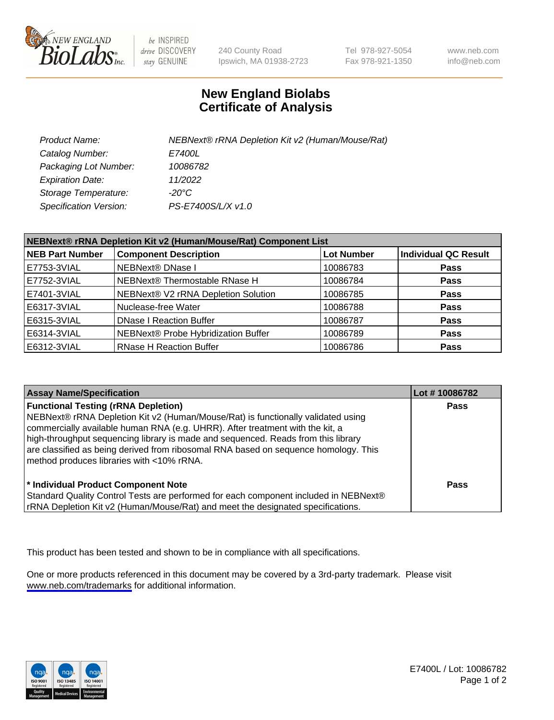

be INSPIRED drive DISCOVERY stay GENUINE

240 County Road Ipswich, MA 01938-2723 Tel 978-927-5054 Fax 978-921-1350

www.neb.com info@neb.com

## **New England Biolabs Certificate of Analysis**

| Product Name:           | NEBNext® rRNA Depletion Kit v2 (Human/Mouse/Rat) |
|-------------------------|--------------------------------------------------|
| Catalog Number:         | <i>E7400L</i>                                    |
| Packaging Lot Number:   | 10086782                                         |
| <b>Expiration Date:</b> | 11/2022                                          |
| Storage Temperature:    | -20°C                                            |
| Specification Version:  | PS-E7400S/L/X v1.0                               |

| NEBNext® rRNA Depletion Kit v2 (Human/Mouse/Rat) Component List |                                     |                   |                             |  |
|-----------------------------------------------------------------|-------------------------------------|-------------------|-----------------------------|--|
| <b>NEB Part Number</b>                                          | <b>Component Description</b>        | <b>Lot Number</b> | <b>Individual QC Result</b> |  |
| E7753-3VIAL                                                     | <b>NEBNext® DNase I</b>             | 10086783          | <b>Pass</b>                 |  |
| E7752-3VIAL                                                     | NEBNext® Thermostable RNase H       | 10086784          | <b>Pass</b>                 |  |
| E7401-3VIAL                                                     | NEBNext® V2 rRNA Depletion Solution | 10086785          | <b>Pass</b>                 |  |
| E6317-3VIAL                                                     | Nuclease-free Water                 | 10086788          | <b>Pass</b>                 |  |
| E6315-3VIAL                                                     | <b>DNase I Reaction Buffer</b>      | 10086787          | <b>Pass</b>                 |  |
| E6314-3VIAL                                                     | NEBNext® Probe Hybridization Buffer | 10086789          | <b>Pass</b>                 |  |
| E6312-3VIAL                                                     | <b>RNase H Reaction Buffer</b>      | 10086786          | <b>Pass</b>                 |  |

| <b>Assay Name/Specification</b>                                                                                                                                                                                                                                                                                                                                                                                                          | Lot #10086782 |
|------------------------------------------------------------------------------------------------------------------------------------------------------------------------------------------------------------------------------------------------------------------------------------------------------------------------------------------------------------------------------------------------------------------------------------------|---------------|
| <b>Functional Testing (rRNA Depletion)</b><br>NEBNext® rRNA Depletion Kit v2 (Human/Mouse/Rat) is functionally validated using<br>commercially available human RNA (e.g. UHRR). After treatment with the kit, a<br>high-throughput sequencing library is made and sequenced. Reads from this library<br>are classified as being derived from ribosomal RNA based on sequence homology. This<br>method produces libraries with <10% rRNA. | <b>Pass</b>   |
| * Individual Product Component Note<br>Standard Quality Control Tests are performed for each component included in NEBNext®<br>rRNA Depletion Kit v2 (Human/Mouse/Rat) and meet the designated specifications.                                                                                                                                                                                                                           | Pass          |

This product has been tested and shown to be in compliance with all specifications.

One or more products referenced in this document may be covered by a 3rd-party trademark. Please visit <www.neb.com/trademarks>for additional information.